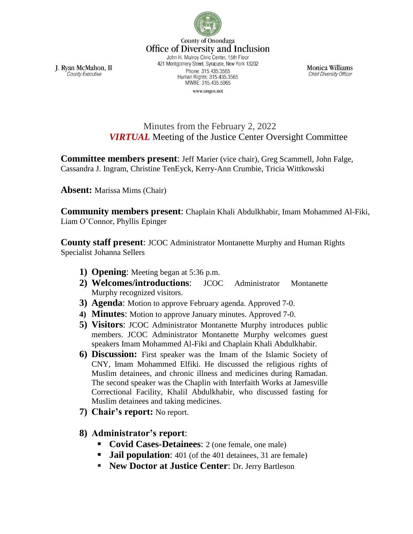

County of Onondaga **Office of Diversity and Inclusion** John H. Mulroy Civic Center, 15th Floor 421 Montgomery Street, Syracuse, New York 13202 Phone: 315.435.3565 Human Rights: 315.435.3565

MWBE: 315.435.5065 www.ongov.net

Monica Williams **Chief Diversity Officer** 

J. Ryan McMahon, II County Executive

> Minutes from the February 2, 2022 *VIRTUAL* Meeting of the Justice Center Oversight Committee

**Committee members present**: Jeff Marier (vice chair), Greg Scammell, John Falge, Cassandra J. Ingram, Christine TenEyck, Kerry-Ann Crumbie, Tricia Wittkowski

**Absent:** Marissa Mims (Chair)

**Community members present**: Chaplain Khali Abdulkhabir, Imam Mohammed Al-Fiki, Liam O'Connor, Phyllis Epinger

**County staff present**: JCOC Administrator Montanette Murphy and Human Rights Specialist Johanna Sellers

- **1) Opening**: Meeting began at 5:36 p.m.
- **2) Welcomes/introductions**: JCOC Administrator Montanette Murphy recognized visitors.
- **3) Agenda**: Motion to approve February agenda. Approved 7-0.
- **4) Minutes**: Motion to approve January minutes. Approved 7-0.
- **5) Visitors**: JCOC Administrator Montanette Murphy introduces public members. JCOC Administrator Montanette Murphy welcomes guest speakers Imam Mohammed Al-Fiki and Chaplain Khali Abdulkhabir.
- **6) Discussion:** First speaker was the Imam of the Islamic Society of CNY, Imam Mohammed Elfiki. He discussed the religious rights of Muslim detainees, and chronic illness and medicines during Ramadan. The second speaker was the Chaplin with Interfaith Works at Jamesville Correctional Facility, Khalil Abdulkhabir, who discussed fasting for Muslim detainees and taking medicines.
- **7) Chair's report:** No report.
- **8) Administrator's report**:
	- **Covid Cases-Detainees**: 2 (one female, one male)
	- **Jail population:** 401 (of the 401 detainees, 31 are female)
	- **New Doctor at Justice Center**: Dr. Jerry Bartleson